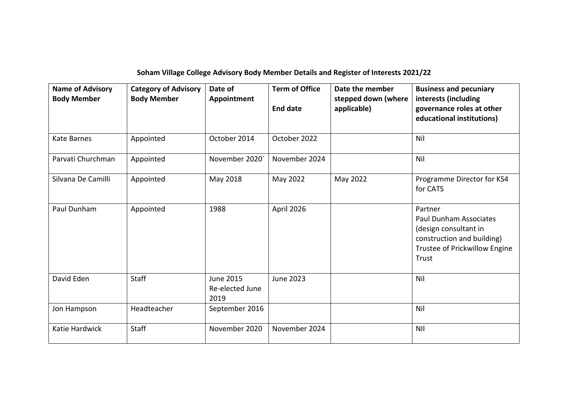## **Soham Village College Advisory Body Member Details and Register of Interests 2021/22**

| <b>Name of Advisory</b><br><b>Body Member</b> | <b>Category of Advisory</b><br><b>Body Member</b> | Date of<br>Appointment                      | <b>Term of Office</b><br>End date | Date the member<br>stepped down (where<br>applicable) | <b>Business and pecuniary</b><br>interests (including<br>governance roles at other<br>educational institutions)                           |
|-----------------------------------------------|---------------------------------------------------|---------------------------------------------|-----------------------------------|-------------------------------------------------------|-------------------------------------------------------------------------------------------------------------------------------------------|
| Kate Barnes                                   | Appointed                                         | October 2014                                | October 2022                      |                                                       | Nil                                                                                                                                       |
| Parvati Churchman                             | Appointed                                         | November 2020'                              | November 2024                     |                                                       | Nil                                                                                                                                       |
| Silvana De Camilli                            | Appointed                                         | May 2018                                    | May 2022                          | May 2022                                              | Programme Director for KS4<br>for CATS                                                                                                    |
| Paul Dunham                                   | Appointed                                         | 1988                                        | April 2026                        |                                                       | Partner<br><b>Paul Dunham Associates</b><br>(design consultant in<br>construction and building)<br>Trustee of Prickwillow Engine<br>Trust |
| David Eden                                    | <b>Staff</b>                                      | <b>June 2015</b><br>Re-elected June<br>2019 | <b>June 2023</b>                  |                                                       | Nil                                                                                                                                       |
| Jon Hampson                                   | Headteacher                                       | September 2016                              |                                   |                                                       | Nil                                                                                                                                       |
| Katie Hardwick                                | <b>Staff</b>                                      | November 2020                               | November 2024                     |                                                       | <b>NII</b>                                                                                                                                |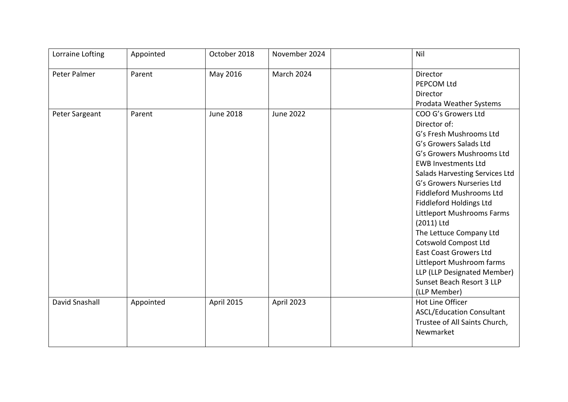| Lorraine Lofting | Appointed | October 2018     | November 2024    | Nil                                                                                                                                                                                                                                                                                                                                                                                                                                                                                                                                     |
|------------------|-----------|------------------|------------------|-----------------------------------------------------------------------------------------------------------------------------------------------------------------------------------------------------------------------------------------------------------------------------------------------------------------------------------------------------------------------------------------------------------------------------------------------------------------------------------------------------------------------------------------|
| Peter Palmer     | Parent    | May 2016         | March 2024       | Director<br>PEPCOM Ltd<br><b>Director</b><br>Prodata Weather Systems                                                                                                                                                                                                                                                                                                                                                                                                                                                                    |
| Peter Sargeant   | Parent    | <b>June 2018</b> | <b>June 2022</b> | COO G's Growers Ltd<br>Director of:<br>G's Fresh Mushrooms Ltd<br>G's Growers Salads Ltd<br>G's Growers Mushrooms Ltd<br><b>EWB Investments Ltd</b><br>Salads Harvesting Services Ltd<br>G's Growers Nurseries Ltd<br><b>Fiddleford Mushrooms Ltd</b><br><b>Fiddleford Holdings Ltd</b><br>Littleport Mushrooms Farms<br>(2011) Ltd<br>The Lettuce Company Ltd<br><b>Cotswold Compost Ltd</b><br><b>East Coast Growers Ltd</b><br>Littleport Mushroom farms<br>LLP (LLP Designated Member)<br>Sunset Beach Resort 3 LLP<br>(LLP Member) |
| David Snashall   | Appointed | April 2015       | April 2023       | Hot Line Officer<br><b>ASCL/Education Consultant</b><br>Trustee of All Saints Church,<br>Newmarket                                                                                                                                                                                                                                                                                                                                                                                                                                      |